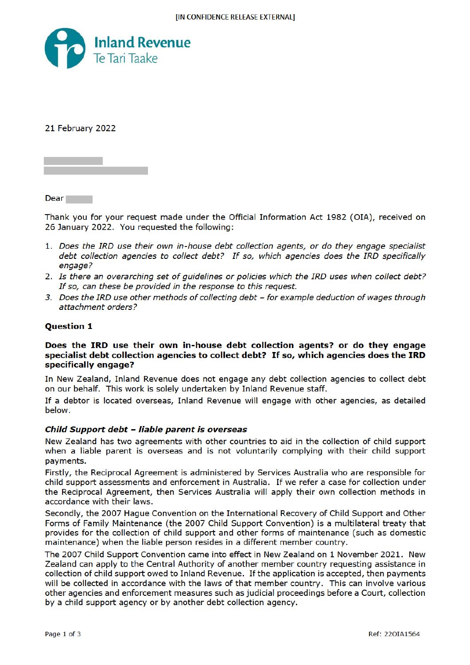

21 February 2022

**Dear** 

Thank you for your request made under the Official Information Act 1982 (OIA), received on 26 January 2022. You requested the following:

- 1. Does the IRD use their own in-house debt collection agents, or do they engage specialist debt collection agencies to collect debt? If so, which agencies does the IRD specifically engage?
- 2. Is there an overarching set of guidelines or policies which the IRD uses when collect debt? If so, can these be provided in the response to this request.
- 3. Does the IRD use other methods of collecting debt for example deduction of wages through attachment orders?

# **Ouestion 1**

# Does the IRD use their own in-house debt collection agents? or do they engage specialist debt collection agencies to collect debt? If so, which agencies does the IRD specifically engage?

In New Zealand, Inland Revenue does not engage any debt collection agencies to collect debt on our behalf. This work is solely undertaken by Inland Revenue staff.

If a debtor is located overseas, Inland Revenue will engage with other agencies, as detailed below.

# Child Support debt - liable parent is overseas

New Zealand has two agreements with other countries to aid in the collection of child support when a liable parent is overseas and is not voluntarily complying with their child support payments.

Firstly, the Reciprocal Agreement is administered by Services Australia who are responsible for child support assessments and enforcement in Australia. If we refer a case for collection under the Reciprocal Agreement, then Services Australia will apply their own collection methods in accordance with their laws.

Secondly, the 2007 Hague Convention on the International Recovery of Child Support and Other Forms of Family Maintenance (the 2007 Child Support Convention) is a multilateral treaty that provides for the collection of child support and other forms of maintenance (such as domestic maintenance) when the liable person resides in a different member country.

The 2007 Child Support Convention came into effect in New Zealand on 1 November 2021. New Zealand can apply to the Central Authority of another member country requesting assistance in collection of child support owed to Inland Revenue. If the application is accepted, then payments will be collected in accordance with the laws of that member country. This can involve various other agencies and enforcement measures such as judicial proceedings before a Court, collection by a child support agency or by another debt collection agency.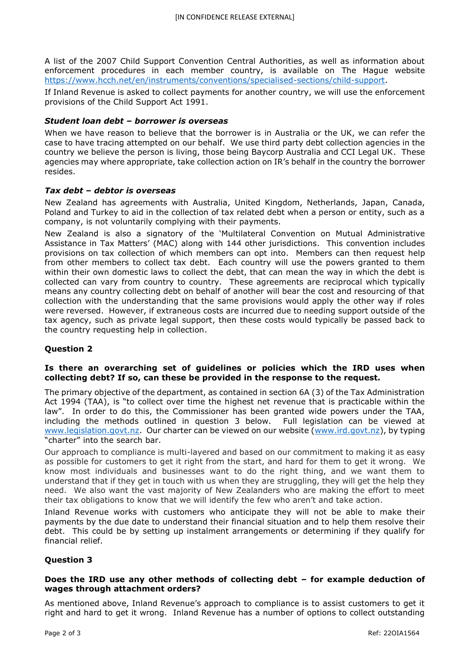A list of the 2007 Child Support Convention Central Authorities, as well as information about enforcement procedures in each member country, is available on The Hague website https://www.hcch.net/en/instruments/conventions/specialised-sections/child-support.

If Inland Revenue is asked to collect payments for another country, we will use the enforcement provisions of the Child Support Act 1991.

# *Student loan debt – borrower is overseas*

When we have reason to believe that the borrower is in Australia or the UK, we can refer the case to have tracing attempted on our behalf. We use third party debt collection agencies in the country we believe the person is living, those being Baycorp Australia and CCI Legal UK. These agencies may where appropriate, take collection action on IR's behalf in the country the borrower resides.

#### *Tax debt – debtor is overseas*

New Zealand has agreements with Australia, United Kingdom, Netherlands, Japan, Canada, Poland and Turkey to aid in the collection of tax related debt when a person or entity, such as a company, is not voluntarily complying with their payments.

New Zealand is also a signatory of the 'Multilateral Convention on Mutual Administrative Assistance in Tax Matters' (MAC) along with 144 other jurisdictions. This convention includes provisions on tax collection of which members can opt into. Members can then request help from other members to collect tax debt. Each country will use the powers granted to them within their own domestic laws to collect the debt, that can mean the way in which the debt is collected can vary from country to country. These agreements are reciprocal which typically means any country collecting debt on behalf of another will bear the cost and resourcing of that collection with the understanding that the same provisions would apply the other way if roles were reversed. However, if extraneous costs are incurred due to needing support outside of the tax agency, such as private legal support, then these costs would typically be passed back to the country requesting help in collection.

# **Question 2**

# **Is there an overarching set of guidelines or policies which the IRD uses when collecting debt? If so, can these be provided in the response to the request.**

The primary objective of the department, as contained in section 6A (3) of the Tax Administration Act 1994 (TAA), is "to collect over time the highest net revenue that is practicable within the law". In order to do this, the Commissioner has been granted wide powers under the TAA, including the methods outlined in question 3 below. Full legislation can be viewed at www.legislation.govt.nz. Our charter can be viewed on our website (www.ird.govt.nz), by typing "charter" into the search bar.

Our approach to compliance is multi-layered and based on our commitment to making it as easy as possible for customers to get it right from the start, and hard for them to get it wrong. We know most individuals and businesses want to do the right thing, and we want them to understand that if they get in touch with us when they are struggling, they will get the help they need. We also want the vast majority of New Zealanders who are making the effort to meet their tax obligations to know that we will identify the few who aren't and take action.

Inland Revenue works with customers who anticipate they will not be able to make their payments by the due date to understand their financial situation and to help them resolve their debt. This could be by setting up instalment arrangements or determining if they qualify for financial relief.

# **Question 3**

# **Does the IRD use any other methods of collecting debt – for example deduction of wages through attachment orders?**

As mentioned above, Inland Revenue's approach to compliance is to assist customers to get it right and hard to get it wrong. Inland Revenue has a number of options to collect outstanding